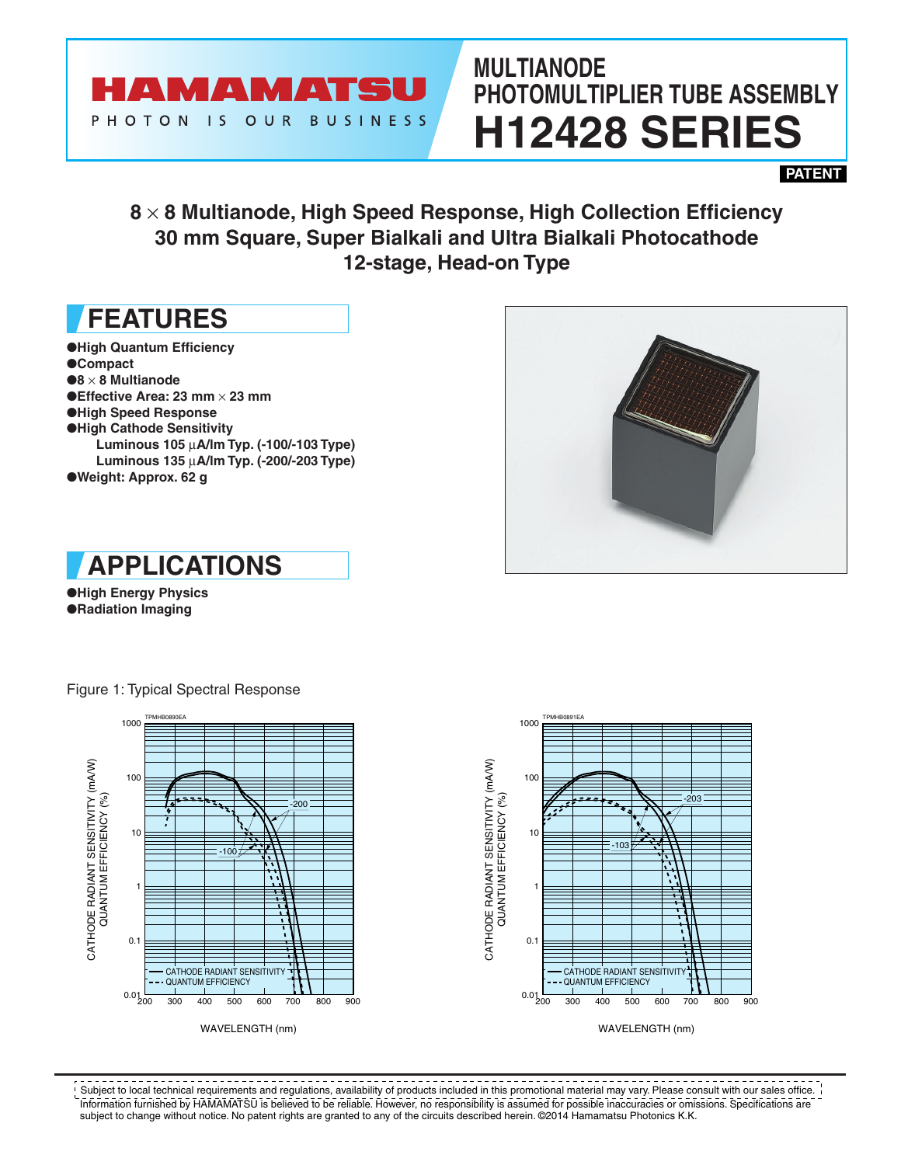

# **MULTIANODE PHOTOMULTIPLIER TUBE ASSEMBLY H12428 SERIES**

**PATENT**

## **8** × **8 Multianode, High Speed Response, High Collection Efficiency 30 mm Square, Super Bialkali and Ultra Bialkali Photocathode 12-stage, Head-on Type**

## **FEATURES**

- ●**High Quantum Efficiency**
- ●**Compact**
- ●**8** × **8 Multianode**
- ●**Effective Area: 23 mm** × **23 mm**
- ●**High Speed Response**
- ●**High Cathode Sensitivity Luminous 105** µ**A/lm Typ. (-100/-103 Type) Luminous 135** µ**A/lm Typ. (-200/-203 Type)**
- ●**Weight: Approx. 62 g**





●**High Energy Physics** ●**Radiation Imaging**







-------------------------- $- - - - - -$ . <u>. . . . . . . . . . . .</u> Subject to local technical requirements and regulations, availability of products included in this promotional material may vary. Please consult with our sales office. Information furnished by HAMAMATSU is believed to be reliable. However, no responsibility is assumed for possible inaccuracies or omissions. Specifications are subject to change without notice. No patent rights are granted to any of the circuits described herein. ©2014 Hamamatsu Photonics K.K.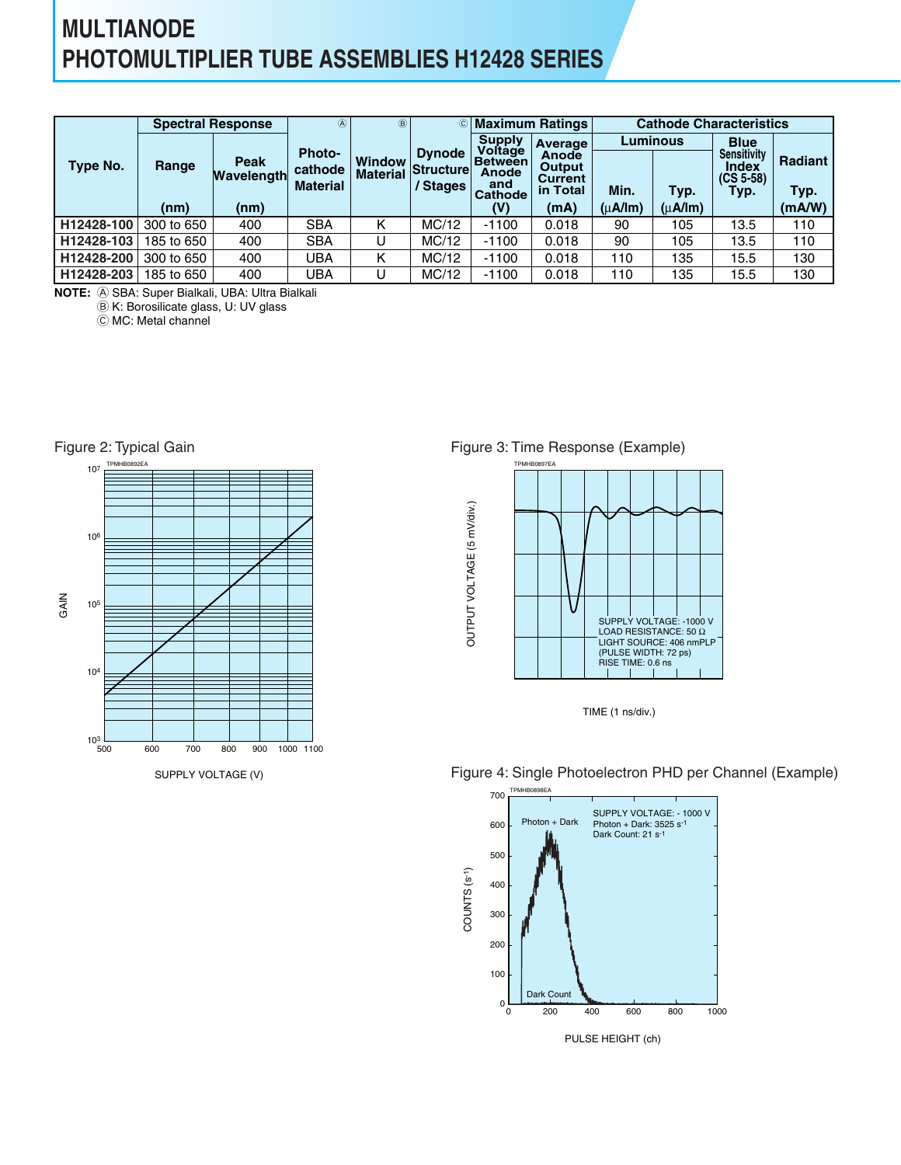## **MULTIANODE PHOTOMULTIPLIER TUBE ASSEMBLIES H12428 SERIES**

|            |            | <b>Spectral Response</b> | $\circledA$                                 | $\circledR$                      | $\circled{c}$                          |                                                       | <b>Maximum Ratings</b>                        | <b>Cathode Characteristics</b> |         |                                                           |                        |  |
|------------|------------|--------------------------|---------------------------------------------|----------------------------------|----------------------------------------|-------------------------------------------------------|-----------------------------------------------|--------------------------------|---------|-----------------------------------------------------------|------------------------|--|
|            |            |                          |                                             |                                  |                                        | <b>Supply</b>                                         | <b>Average</b>                                | <b>Luminous</b>                |         | <b>Blue</b>                                               |                        |  |
| Type No.   | Range      | Peak<br>Wavelength       | <b>Photo-</b><br>cathode<br><b>Material</b> | <b>Window</b><br><b>Material</b> | <b>Dynode</b><br>Structure<br>/ Stages | Voltage<br>⊦Between<br>Anode<br>and<br><b>Cathode</b> | <b>Anode</b><br>Output<br>Current<br>in Total | Min.                           | Typ.    | <b>Sensitivity</b><br><b>Index</b><br>$(CS 5-58)$<br>Typ. | <b>Radiant</b><br>Typ. |  |
|            | (nm)       | (nm)                     |                                             |                                  |                                        | (V)                                                   | (mA)                                          | $(\mu A / Im)$                 | (uA/lm) |                                                           | (mA/W)                 |  |
| H12428-100 | 300 to 650 | 400                      | <b>SBA</b>                                  | κ                                | MC/12                                  | $-1100$                                               | 0.018                                         | 90                             | 105     | 13.5                                                      | 110                    |  |
| H12428-103 | 185 to 650 | 400                      | <b>SBA</b>                                  |                                  | MC/12                                  | $-1100$                                               | 0.018                                         | 90                             | 105     | 13.5                                                      | 110                    |  |
| H12428-200 | 300 to 650 | 400                      | UBA                                         | Κ                                | MC/12                                  | $-1100$                                               | 0.018                                         | 110                            | 135     | 15.5                                                      | 130                    |  |
| H12428-203 | 185 to 650 | 400                      | UBA                                         | U                                | MC/12                                  | $-1100$                                               | 0.018                                         | 110                            | 135     | 15.5                                                      | 130                    |  |

A SBA: Super Bialkali, UBA: Ultra Bialkali **NOTE:**

B K: Borosilicate glass, U: UV glass

C MC: Metal channel



Figure 3: Time Response (Example)







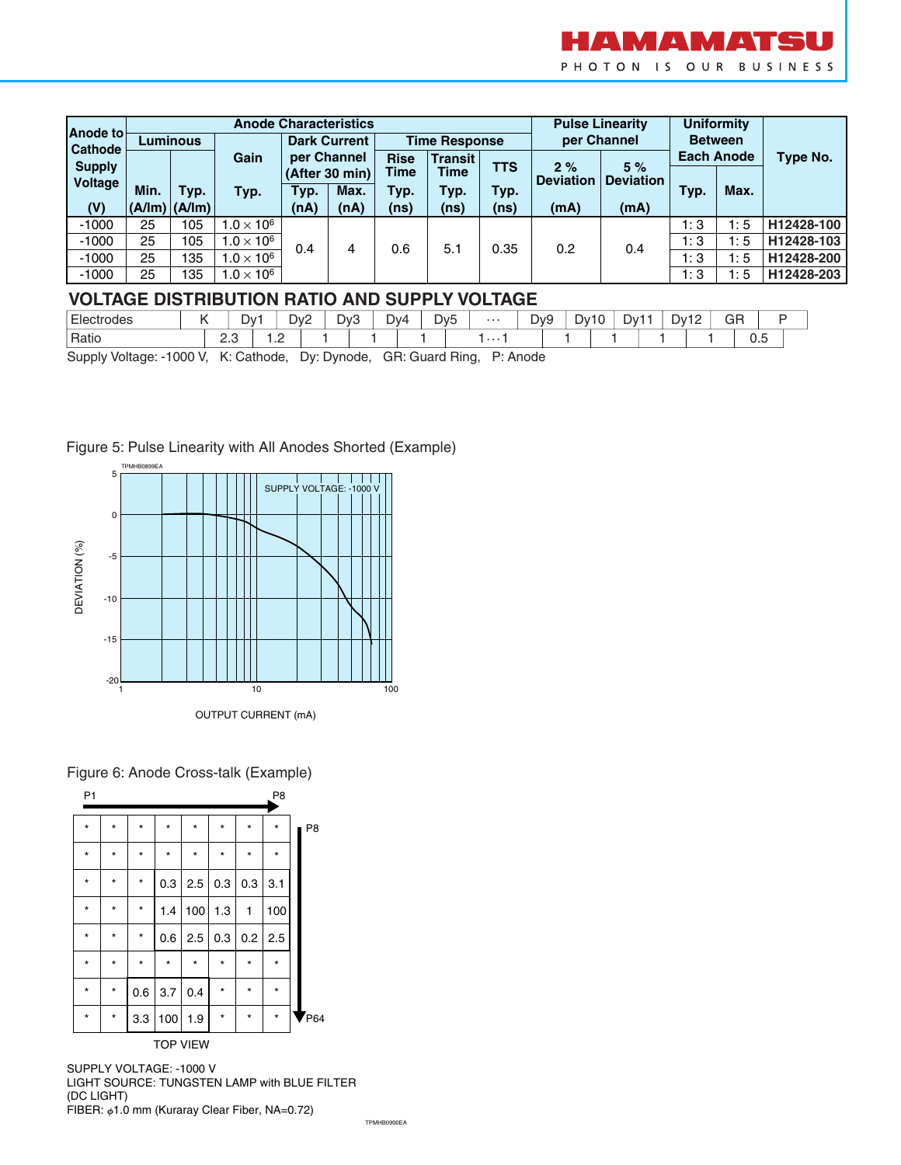

| lAnode to                |      |                   | <b>Anode Characteristics</b> |                               |                     |             |                      |            |                        | <b>Pulse Linearity</b>              | <b>Uniformity</b> |      |                 |
|--------------------------|------|-------------------|------------------------------|-------------------------------|---------------------|-------------|----------------------|------------|------------------------|-------------------------------------|-------------------|------|-----------------|
| Cathode                  |      | <b>Luminous</b>   |                              |                               | <b>Dark Current</b> |             | <b>Time Response</b> |            | per Channel            | <b>Between</b><br><b>Each Anode</b> |                   |      |                 |
|                          |      |                   | Gain                         | per Channel<br>(After 30 min) |                     | <b>Rise</b> | <b>Transit</b>       |            |                        |                                     |                   |      | <b>Type No.</b> |
| <b>Supply</b><br>Voltage |      |                   |                              |                               |                     | Time        | <b>Time</b>          | <b>TTS</b> | 2%<br><b>Deviation</b> | 5%<br><b>Deviation</b>              |                   |      |                 |
|                          | Min. | Typ.              | Typ.                         | Typ.                          | Max.                | Typ.        | Typ.                 | Typ.       |                        |                                     | Typ.              | Max. |                 |
| (V)                      |      | $(A/Im)$ $(A/Im)$ |                              | (nA)                          | (nA)                | (ns)        | (ns)                 | (ns)       | (mA)                   | (mA)                                |                   |      |                 |
| $-1000$                  | 25   | 105               | $1.0 \times 10^6$            |                               |                     |             |                      |            |                        |                                     | 1:3               | 1:5  | H12428-100      |
| $-1000$                  | 25   | 105               | $1.0 \times 10^6$            | 0.4                           | 4                   | 0.6         | 5.1                  | 0.35       | 0.2                    | 0.4                                 | 1:3               | 1:5  | H12428-103      |
| $-1000$                  | 25   | 135               | $1.0 \times 10^{6}$          |                               |                     |             |                      |            |                        |                                     | 1:3               | 1:5  | H12428-200      |
| $-1000$                  | 25   | 135               | $1.0 \times 10^{6}$          |                               |                     |             |                      |            |                        |                                     | 1:3               | 1:5  | H12428-203      |

### **VOLTAGE DISTRIBUTION RATIO AND SUPPLY VOLTAGE**

| $-$<br>ctrodes<br>Electi |    | -<br>JV. |     | $\sim$<br>Dv2 | Dv3 | - | ⊿∨∆ | Dv <sub>5</sub> | . | $\overline{\phantom{0}}$<br>D <sub>v9</sub> | _<br>− ∪v | -<br>־∨∪ | $\overline{\phantom{a}}$<br>-<br>⊃v1 | GR<br>$\sim$ $\sim$ |   |  |
|--------------------------|----|----------|-----|---------------|-----|---|-----|-----------------|---|---------------------------------------------|-----------|----------|--------------------------------------|---------------------|---|--|
| Ratio                    | ے، |          | $-$ |               |     |   |     |                 | . |                                             |           |          |                                      | ∪.∪                 | - |  |

Supply Voltage: -1000 V, K: Cathode, Dy: Dynode, GR: Guard Ring, P: Anode



### Figure 5: Pulse Linearity with All Anodes Shorted (Example)

Figure 6: Anode Cross-talk (Example)

| P <sub>1</sub>  |         |         |         |         |         |         | P <sub>8</sub> |                            |  |  |  |
|-----------------|---------|---------|---------|---------|---------|---------|----------------|----------------------------|--|--|--|
| $\star$         | $\star$ | $\star$ | $\star$ | $\star$ | $\star$ | *       | $\star$        | P <sub>8</sub>             |  |  |  |
| $\star$         | $\star$ | $\star$ | $\star$ | $\star$ | $\star$ | $\star$ | $\star$        |                            |  |  |  |
| $\star$         | $\star$ | $\star$ | 0.3     | 2.5     | 0.3     | 0.3     | 3.1            |                            |  |  |  |
| $\star$         | $\star$ | $\star$ | 1.4     | 100     | 1.3     | 1       | 100            |                            |  |  |  |
| $\star$         | $\star$ | $\star$ | 0.6     | 2.5     | 0.3     | 0.2     | 2.5            |                            |  |  |  |
| $\star$         | $\star$ | $\star$ | $\star$ | $\star$ | $\star$ | $\star$ | $\star$        |                            |  |  |  |
| $\star$         | $\star$ | 0.6     | 3.7     | 0.4     | $\star$ | $\star$ | $\star$        |                            |  |  |  |
| $\star$         | $\star$ | 3.3     | 100     | 1.9     | $\star$ | $\star$ | $\star$        | $\blacktriangledown_{P64}$ |  |  |  |
| <b>TOP VIEW</b> |         |         |         |         |         |         |                |                            |  |  |  |

SUPPLY VOLTAGE: -1000 V LIGHT SOURCE: TUNGSTEN LAMP with BLUE FILTER (DC LIGHT) FIBER:  $\phi$ 1.0 mm (Kuraray Clear Fiber, NA=0.72)

TPMHB0900EA